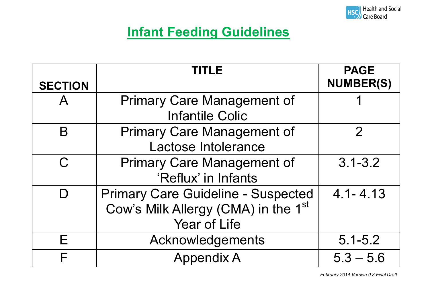

#### **Infant Feeding Guidelines**

|                | TITLE                                           | <b>PAGE</b>      |
|----------------|-------------------------------------------------|------------------|
| <b>SECTION</b> |                                                 | <b>NUMBER(S)</b> |
| $\mathsf{A}$   | <b>Primary Care Management of</b>               |                  |
|                | <b>Infantile Colic</b>                          |                  |
| B              | <b>Primary Care Management of</b>               | $\mathcal{P}$    |
|                | Lactose Intolerance                             |                  |
| C.             | <b>Primary Care Management of</b>               | $3.1 - 3.2$      |
|                | 'Reflux' in Infants                             |                  |
|                | <b>Primary Care Guideline - Suspected</b>       | $4.1 - 4.13$     |
|                | Cow's Milk Allergy (CMA) in the 1 <sup>st</sup> |                  |
|                | <b>Year of Life</b>                             |                  |
| Е              | Acknowledgements                                | $5.1 - 5.2$      |
| F              | <b>Appendix A</b>                               | $5.3 - 5.6$      |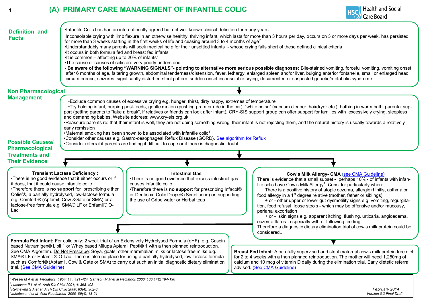#### **<sup>1</sup> (A) PRIMARY CARE MANAGEMENT OF INFANTILE COLIC**



| <b>Definition and</b><br><b>Facts</b>                                                                                         | •It occurs in both formula fed and breast fed infants<br>•It is common – affecting up to 20% of infants <sup>2</sup><br>•The cause or causes of colic are very poorly understood                                                                                                                                        | Infantile Colic has had an internationally agreed but not well known clinical definition for many years<br>for more than 3 weeks starting in the first weeks of life and ceasing around 3 to 4 months of age <sup>1</sup>                                                                                                                                                                                                                                    | 'Inconsolable crying with limb flexure in an otherwise healthy, thriving infant, which lasts for more than 3 hours per day, occurs on 3 or more days per week, has persisted<br>•Understandably many parents will seek medical help for their unsettled infants - whose crying falls short of these defined clinical criteria<br>. Be aware of the following "WARNING SIGNALS"- pointing to alternative more serious possible diagnoses: Bile-stained vomiting, forceful vomiting, vomiting onset<br>after 6 months of age, faltering growth, abdominal tenderness/distension, fever, lethargy, enlarged spleen and/or liver, bulging anterior fontanelle, small or enlarged head<br>circumference, seizures, significantly disturbed stool pattern, sudden onset inconsolable crying, documented or suspected genetic/metabolic syndrome. |  |
|-------------------------------------------------------------------------------------------------------------------------------|-------------------------------------------------------------------------------------------------------------------------------------------------------------------------------------------------------------------------------------------------------------------------------------------------------------------------|--------------------------------------------------------------------------------------------------------------------------------------------------------------------------------------------------------------------------------------------------------------------------------------------------------------------------------------------------------------------------------------------------------------------------------------------------------------|--------------------------------------------------------------------------------------------------------------------------------------------------------------------------------------------------------------------------------------------------------------------------------------------------------------------------------------------------------------------------------------------------------------------------------------------------------------------------------------------------------------------------------------------------------------------------------------------------------------------------------------------------------------------------------------------------------------------------------------------------------------------------------------------------------------------------------------------|--|
| <b>Non Pharmacological</b>                                                                                                    |                                                                                                                                                                                                                                                                                                                         |                                                                                                                                                                                                                                                                                                                                                                                                                                                              |                                                                                                                                                                                                                                                                                                                                                                                                                                                                                                                                                                                                                                                                                                                                                                                                                                            |  |
| <b>Management</b><br><b>Possible Causes/</b><br><b>Pharmacological</b>                                                        | early remission                                                                                                                                                                                                                                                                                                         | •Exclude common causes of excessive crying e.g. hunger, thirst, dirty nappy, extremes of temperature<br>and demanding babies. Website address: www.cry-sis.org.uk<br>•Maternal smoking has been shown to be associated with infantile colic <sup>3</sup><br>•Consider other causes e.g. Gastro-oesophageal Reflux Disease (GORD). See algorithm for Reflux<br>•Consider referral if parents are finding it difficult to cope or if there is diagnostic doubt | •Try holding infant, burping post-feeds, gentle motion (pushing pram or ride in the car), "white noise" (vacuum cleaner, hairdryer etc.), bathing in warm bath, parental sup-<br>port (getting parents to "take a break", if relatives or friends can look after infant), CRY-SIS support group can offer support for families with excessively crying, sleepless<br>•Reassure parents re: that their infant is well, they are not doing something wrong, their infant is not rejecting them, and the natural history is usually towards a relatively                                                                                                                                                                                                                                                                                      |  |
| <b>Treatments and</b>                                                                                                         |                                                                                                                                                                                                                                                                                                                         |                                                                                                                                                                                                                                                                                                                                                                                                                                                              |                                                                                                                                                                                                                                                                                                                                                                                                                                                                                                                                                                                                                                                                                                                                                                                                                                            |  |
| <b>Their Evidence</b>                                                                                                         |                                                                                                                                                                                                                                                                                                                         |                                                                                                                                                                                                                                                                                                                                                                                                                                                              |                                                                                                                                                                                                                                                                                                                                                                                                                                                                                                                                                                                                                                                                                                                                                                                                                                            |  |
| it does, that it could cause infantile colic<br>Lac                                                                           | <b>Transient Lactase Deficiency:</b><br>•There is no good evidence that it either occurs or if<br>•Therefore there is no support for prescribing either<br>Colief®, a partially hydrolysed, low-lactose formula<br>e.g. Comfort ® (Aptamil, Cow & Gate or SMA) or a<br>lactose-free formula e.g. SMA® LF or Enfamil® O- | <b>Intestinal Gas</b><br>•There is no good evidence that excess intestinal gas<br>causes infantile colic<br>•Therefore there is no support for prescribing Infacol®<br>or Dentinox Colic Drops® (Simeticone) or supporting<br>the use of Gripe water or Herbal teas                                                                                                                                                                                          | Cow's Milk Allergy- CMA (see CMA Guideline)<br>There is evidence that a small subset - perhaps 10% - of infants with infan-<br>tile colic have Cow's Milk Allergy <sup>4</sup> . Consider particularly when:<br>There is a positive history of atopic eczema, allergic rhinitis, asthma or<br>food allergy in a 1 <sup>st</sup> degree relative (mother, father or siblings)<br>+ or - other upper or lower gut dysmotility signs e.g. vomiting, regurgita-<br>tion, food refusal, loose stools - which may be offensive and/or mucousy,<br>perianal excoriation<br>+ or - skin signs e.g. apparent itching, flushing, urticaria, angioedema,<br>eczema flares - especially with or following feeding.<br>Therefore a diagnostic dietary elimination trial of cow's milk protein could be                                                  |  |
|                                                                                                                               |                                                                                                                                                                                                                                                                                                                         |                                                                                                                                                                                                                                                                                                                                                                                                                                                              | considered                                                                                                                                                                                                                                                                                                                                                                                                                                                                                                                                                                                                                                                                                                                                                                                                                                 |  |
| Formula Fed Infant: For colic only: 2 week trial of an Extensively Hydrolysed Formula (eHF) e.g. Casein                       |                                                                                                                                                                                                                                                                                                                         |                                                                                                                                                                                                                                                                                                                                                                                                                                                              |                                                                                                                                                                                                                                                                                                                                                                                                                                                                                                                                                                                                                                                                                                                                                                                                                                            |  |
| trial. (See CMA Guideline)                                                                                                    |                                                                                                                                                                                                                                                                                                                         | based Nutramigen® Lipil 1 or Whey based Milupa Aptamil Pepti® 1 with a then planned reintroduction.<br>See CMA Algorithm. Do Not Prescribe: Soya, goats, other mammalian milks or lactose free milks e.g.<br>SMA® LF or Enfamil ® O-Lac. There is also no place for using a partially hydrolysed, low lactose formula<br>such as Comfort® (Aptamil, Cow & Gate or SMA) to carry out such an initial diagnostic dietary elimination                           | Breast Fed Infant: A carefully supervised and strict maternal cow's milk protein free diet<br>for 2 to 4 weeks with a then planned reintroduction. The mother will need 1,250mg of<br>calcium and 10 mcg of vitamin D daily during the elimination trial. Early dietetic referral<br>advised. (See CMA Guideline)                                                                                                                                                                                                                                                                                                                                                                                                                                                                                                                          |  |
| <sup>2</sup> Lucassen P L et al Arch Dis Child 2001; 4: 398-403<br>$3$ Reijneveld S A et al Arch Dis Child 2000; 83(4): 302-3 | Wessel M A et al  Pediatrics  1954; 14 : 421-424  Garrison M M et al Pediatrics 2000; 106 1Pt2 184-190 أ                                                                                                                                                                                                                |                                                                                                                                                                                                                                                                                                                                                                                                                                                              | February 2014                                                                                                                                                                                                                                                                                                                                                                                                                                                                                                                                                                                                                                                                                                                                                                                                                              |  |

*4 Jakobsson I et al Acta Paediatrica 2000 89(4); 18-21 Version 0.3 Final Draft*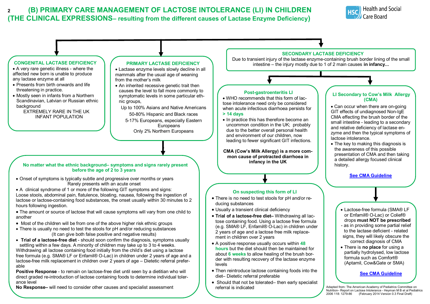#### **<sup>2</sup> (B) PRIMARY CARE MANAGEMENT OF LACTOSE INTOLERANCE (LI) IN CHILDREN (THE CLINICAL EXPRESSIONS– resulting from the different causes of Lactase Enzyme Deficiency)**



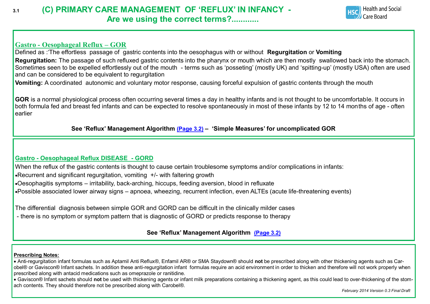#### **3.1 (C) PRIMARY CARE MANAGEMENT OF 'REFLUX' IN INFANCY - Are we using the correct terms?............**



#### **Gastro - Oesophageal Reflux – GOR**

Defined as :'The effortless passage of gastric contents into the oesophagus with or without **Regurgitation** or **Vomiting Regurgitation:** The passage of such refluxed gastric contents into the pharynx or mouth which are then mostly swallowed back into the stomach. Sometimes seen to be expelled effortlessly out of the mouth - terms such as 'posseting' (mostly UK) and 'spitting-up' (mostly USA) often are used and can be considered to be equivalent to regurgitation

**Vomiting:** A coordinated autonomic and voluntary motor response, causing forceful expulsion of gastric contents through the mouth

**GOR** is a normal physiological process often occurring several times a day in healthy infants and is not thought to be uncomfortable. It occurs in both formula fed and breast fed infants and can be expected to resolve spontaneously in most of these infants by 12 to 14 months of age - often earlier

**See 'Reflux' Management Algorithm [\(Page 3.2\)](#page-4-0) – 'Simple Measures' for uncomplicated GOR**

#### **Gastro - Oesophageal Reflux DISEASE - GORD**

When the reflux of the gastric contents is thought to cause certain troublesome symptoms and/or complications in infants:

- Recurrent and significant regurgitation, vomiting +/- with faltering growth
- Oesophagitis symptoms irritability, back-arching, hiccups, feeding aversion, blood in refluxate
- Possible associated lower airway signs apnoea, wheezing, recurrent infection, even ALTEs (acute life-threatening events)

The differential diagnosis between simple GOR and GORD can be difficult in the clinically milder cases

- there is no symptom or symptom pattern that is diagnostic of GORD or predicts response to therapy

#### **See 'Reflux' Management Algorithm [\(Page 3.2\)](#page-4-0)**

#### **Prescribing Notes:**

 Anti-regurgitation infant formulas such as Aptamil Anti Reflux®, Enfamil AR® or SMA Staydown® should **not** be prescribed along with other thickening agents such as Carobel® or Gaviscon® Infant sachets. In addition these anti-regurgitation infant formulas require an acid environment in order to thicken and therefore will not work properly when prescribed along with antacid medications such as omeprazole or ranitidine.

 Gaviscon® Infant sachets should **not** be used with thickening agents or infant milk preparations containing a thickening agent, as this could lead to over-thickening of the stomach contents. They should therefore not be prescribed along with Carobel®.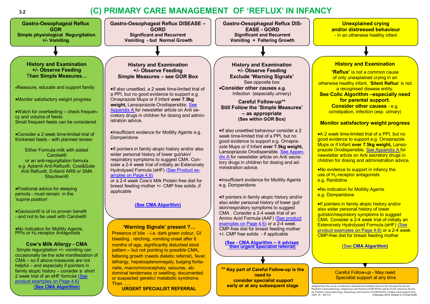#### **3.2 (C) PRIMARY CARE MANAGEMENT OF 'REFLUX' IN INFANCY**

<span id="page-4-0"></span>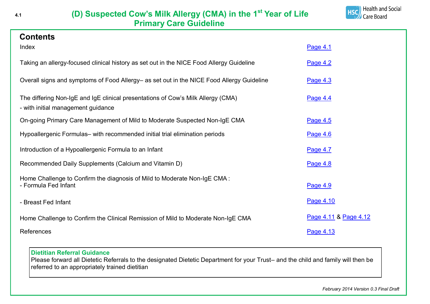<span id="page-5-0"></span>

**Contents**



| CONTENTS                                                                                                               |                       |
|------------------------------------------------------------------------------------------------------------------------|-----------------------|
| Index                                                                                                                  | Page 4.1              |
| Taking an allergy-focused clinical history as set out in the NICE Food Allergy Guideline                               | Page 4.2              |
| Overall signs and symptoms of Food Allergy– as set out in the NICE Food Allergy Guideline                              | Page 4.3              |
| The differing Non-IgE and IgE clinical presentations of Cow's Milk Allergy (CMA)<br>- with initial management guidance | Page 4.4              |
| On-going Primary Care Management of Mild to Moderate Suspected Non-IgE CMA                                             | Page 4.5              |
| Hypoallergenic Formulas- with recommended initial trial elimination periods                                            | Page 4.6              |
| Introduction of a Hypoallergenic Formula to an Infant                                                                  | Page 4.7              |
| Recommended Daily Supplements (Calcium and Vitamin D)                                                                  | Page 4.8              |
| Home Challenge to Confirm the diagnosis of Mild to Moderate Non-IgE CMA:<br>- Formula Fed Infant                       | Page 4.9              |
| - Breast Fed Infant                                                                                                    | Page 4.10             |
| Home Challenge to Confirm the Clinical Remission of Mild to Moderate Non-IgE CMA                                       | Page 4.11 & Page 4.12 |
| References                                                                                                             | Page 4.13             |

#### **Dietitian Referral Guidance**

Please forward all Dietetic Referrals to the designated Dietetic Department for your Trust– and the child and family will then be referred to an appropriately trained dietitian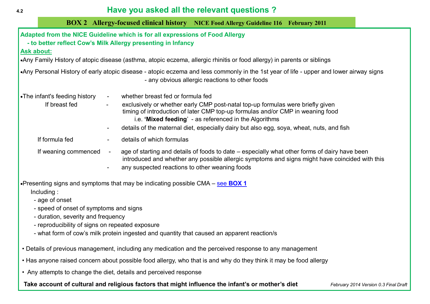#### <span id="page-6-0"></span>**4.2 Have you asked all the relevant questions ?**

| 4.Z | <b>TRUS YOU GONGG QUI LITE TUICYQUE GUESLIONS</b> |                                                                                                                                              |                                                                                                                                                                                                                                                                                                                        |  |  |  |
|-----|---------------------------------------------------|----------------------------------------------------------------------------------------------------------------------------------------------|------------------------------------------------------------------------------------------------------------------------------------------------------------------------------------------------------------------------------------------------------------------------------------------------------------------------|--|--|--|
|     |                                                   |                                                                                                                                              | <b>BOX 2 Allergy-focused clinical history NICE Food Allergy Guideline 116 February 2011</b>                                                                                                                                                                                                                            |  |  |  |
|     | <b>Ask about:</b>                                 | Adapted from the NICE Guideline which is for all expressions of Food Allergy<br>- to better reflect Cow's Milk Allergy presenting in Infancy | •Any Family History of atopic disease (asthma, atopic eczema, allergic rhinitis or food allergy) in parents or siblings                                                                                                                                                                                                |  |  |  |
|     |                                                   |                                                                                                                                              | •Any Personal History of early atopic disease - atopic eczema and less commonly in the 1st year of life - upper and lower airway signs<br>- any obvious allergic reactions to other foods                                                                                                                              |  |  |  |
|     | •The infant's feeding history<br>If breast fed    | whether breast fed or formula fed<br>$\blacksquare$<br>$\blacksquare$                                                                        | exclusively or whether early CMP post-natal top-up formulas were briefly given<br>timing of introduction of later CMP top-up formulas and/or CMP in weaning food<br>i.e. 'Mixed feeding' - as referenced in the Algorithms<br>details of the maternal diet, especially dairy but also egg, soya, wheat, nuts, and fish |  |  |  |
|     | If formula fed                                    | details of which formulas<br>$\blacksquare$                                                                                                  |                                                                                                                                                                                                                                                                                                                        |  |  |  |
|     | If weaning commenced                              | any suspected reactions to other weaning foods                                                                                               | age of starting and details of foods to date – especially what other forms of dairy have been<br>introduced and whether any possible allergic symptoms and signs might have coincided with this                                                                                                                        |  |  |  |

Presenting signs and symptoms that may be indicating possible CMA – see **[BOX 1](#page-7-0)** Including :

- age of onset

- speed of onset of symptoms and signs
- duration, severity and frequency
- reproducibility of signs on repeated exposure
- what form of cow's milk protein ingested and quantity that caused an apparent reaction/s
- Details of previous management, including any medication and the perceived response to any management
- Has anyone raised concern about possible food allergy, who that is and why do they think it may be food allergy
- Any attempts to change the diet, details and perceived response

Take account of cultural and religious factors that might influence the infant's or mother's diet *February 2014 Version 0.3 Final Draft*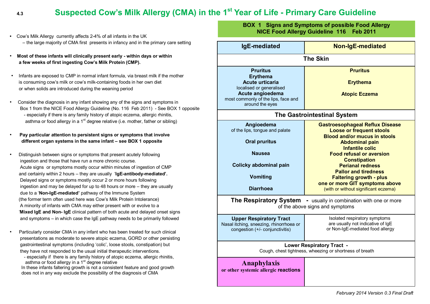#### <span id="page-7-0"></span> **4.3 Suspected Cow's Milk Allergy (CMA) in the 1st Year of Life - Primary Care Guideline**

- Cow's Milk Allergy currently affects 2-4% of all infants in the UK – the large majority of CMA first presents in infancy and in the primary care setting
- **Most of these infants will clinically present early - within days or within a few weeks of first ingesting Cow's Milk Protein (CMP).**
- Infants are exposed to CMP in normal infant formula, via breast milk if the mother is consuming cow's milk or cow's milk-containing foods in her own diet or when solids are introduced during the weaning period
- Consider the diagnosis in any infant showing any of the signs and symptoms in Box 1 from the NICE Food Allergy Guideline (No. 116 Feb 2011) - See BOX 1 opposite - especially if there is any family history of atopic eczema, allergic rhinitis, asthma or food allergy in a  $1<sup>st</sup>$  degree relative (i.e. mother, father or sibling)
- **Pay particular attention to persistent signs or symptoms that involve different organ systems in the same infant – see BOX 1 opposite**
- Distinguish between signs or symptoms that present acutely following ingestion and those that have run a more chronic course. Acute signs or symptoms mostly occur within minutes of ingestion of CMP and certainly within 2 hours – they are usually '**IgE-antibody-mediated'.** Delayed signs or symptoms mostly occur 2 or more hours following ingestion and may be delayed for up to 48 hours or more – they are usually due to a '**Non-IgE-mediated'** pathway of the Immune System (the former term often used here was Cow's Milk Protein Intolerance) A minority of infants with CMA may either present with or evolve to a '**Mixed IgE and Non- IgE** clinical pattern of both acute and delayed onset signs and symptoms – in which case the IgE pathway needs to be primarily followed
- Particularly consider CMA in any infant who has been treated for such clinical presentations as moderate to severe atopic eczema, GORD or other persisting gastrointestinal symptoms (including 'colic', loose stools, constipation) but they have not responded to the usual initial therapeutic interventions.
	- especially if there is any family history of atopic eczema, allergic rhinitis, asthma or food allergy in a 1<sup>st</sup> degree relative
	- In these infants faltering growth is not a consistent feature and good growth does not in any way exclude the possibility of the diagnosis of CMA

**BOX 1 Signs and Symptoms of possible Food Allergy NICE Food Allergy Guideline 116 Feb 2011**

| IgE-mediated                                                                                                                                                           | Non-IgE-mediated                                                                                                                                                                                                                                                                                                                                                                                    |  |  |  |
|------------------------------------------------------------------------------------------------------------------------------------------------------------------------|-----------------------------------------------------------------------------------------------------------------------------------------------------------------------------------------------------------------------------------------------------------------------------------------------------------------------------------------------------------------------------------------------------|--|--|--|
| <b>The Skin</b>                                                                                                                                                        |                                                                                                                                                                                                                                                                                                                                                                                                     |  |  |  |
| <b>Pruritus</b><br><b>Erythema</b><br><b>Acute urticaria</b><br>localised or generalised<br>Acute angioedema<br>most commonly of the lips, face and<br>around the eyes | <b>Pruritus</b><br><b>Erythema</b><br><b>Atopic Eczema</b>                                                                                                                                                                                                                                                                                                                                          |  |  |  |
|                                                                                                                                                                        | <b>The Gastrointestinal System</b>                                                                                                                                                                                                                                                                                                                                                                  |  |  |  |
| Angioedema<br>of the lips, tongue and palate<br><b>Oral pruritus</b><br><b>Nausea</b><br>Colicky abdominal pain<br><b>Vomiting</b><br><b>Diarrhoea</b>                 | <b>Gastroesophageal Reflux Disease</b><br><b>Loose or frequent stools</b><br><b>Blood and/or mucus in stools</b><br><b>Abdominal pain</b><br><b>Infantile colic</b><br><b>Food refusal or aversion</b><br><b>Constipation</b><br><b>Perianal redness</b><br><b>Pallor and tiredness</b><br><b>Faltering growth - plus</b><br>one or more GIT symptoms above<br>(with or without significant eczema) |  |  |  |
| <b>The Respiratory System</b>                                                                                                                                          | - usually in combination with one or more<br>of the above signs and symptoms                                                                                                                                                                                                                                                                                                                        |  |  |  |
| <b>Upper Respiratory Tract</b><br>Nasal itching, sneezing, rhinorrhoea or<br>congestion (+/- conjunctivitis)                                                           | Isolated respiratory symptoms<br>are usually not indicative of IgE<br>or Non-IgE-mediated food allergy                                                                                                                                                                                                                                                                                              |  |  |  |
|                                                                                                                                                                        | <b>Lower Respiratory Tract -</b><br>Cough, chest tightness, wheezing or shortness of breath                                                                                                                                                                                                                                                                                                         |  |  |  |
| Anaphylaxis<br>or other systemic allergic reactions                                                                                                                    |                                                                                                                                                                                                                                                                                                                                                                                                     |  |  |  |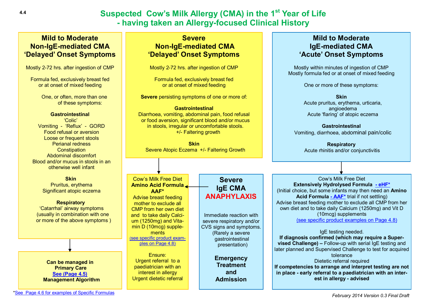#### **Suspected Cow's Milk Allergy (CMA) in the 1st Year of Life - having taken an Allergy-focused Clinical History**

#### <span id="page-8-0"></span>**Mild to Moderate Non-IgE-mediated CMA 'Delayed' Onset Symptoms**

Mostly 2-72 hrs. after ingestion of CMP

Formula fed, exclusively breast fed or at onset of mixed feeding

> One, or often, more than one of these symptoms:

#### **Gastrointestinal**

'Colic' Vomiting - 'Reflux' - GORD Food refusal or aversion Loose or frequent stools Perianal redness **Constipation**  Abdominal discomfort Blood and/or mucus in stools in an otherwise well infant

#### **Skin**

 Pruritus, erythema Significant atopic eczema

#### **Respiratory**

 'Catarrhal' airway symptoms (usually in combination with one or more of the above symptoms )

**Can be managed in Primary Care [See \(Page 4.5\)](#page-9-0) Management Algorithm**

#### **Severe Non-IgE-mediated CMA 'Delayed' Onset Symptoms**

Mostly 2-72 hrs. after ingestion of CMP

Formula fed, exclusively breast fed or at onset of mixed feeding

**Severe** persisting symptoms of one or more of:

#### **Gastrointestinal**

Diarrhoea, vomiting, abdominal pain, food refusal or food aversion, significant blood and/or mucus in stools, irregular or uncomfortable stools. +/- Faltering growth

**Skin** Severe Atopic Eczema +/- Faltering Growth

Cow's Milk Free Diet **Amino Acid Formula AAF\*** Advise breast feeding mother to exclude all CMP from her own diet and to take daily Calcium (1250mg) and Vitamin D (10mcg) supplements ([see specific product exam](#page-12-0)[ples on Page 4.8\)](#page-12-0) Ensure:

Urgent referral to a paediatrician with an interest in allergy Urgent dietetic referral

#### **Severe IgE CMA ANAPHYLAXIS**

Immediate reaction with severe respiratory and/or CVS signs and symptoms. (Rarely a severe qastrointestinal presentation)

> **Emergency Treatment and Admission**

#### **Mild to Moderate IgE-mediated CMA 'Acute' Onset Symptoms**

Mostly within minutes of ingestion of CMP Mostly formula fed or at onset of mixed feeding

One or more of these symptoms:

**Skin**

 Acute pruritus, erythema, urticaria, angioedema Acute 'flaring' of atopic eczema

**Gastrointestinal**

Vomiting, diarrhoea, abdominal pain/colic

**Respiratory** Acute rhinitis and/or conjunctivitis

Cow's Milk Free Diet **Extensively Hydrolysed Formula - [eHF\\*](#page-10-0)** (Initial choice, but some infants may then need an **Amino Acid Formula - [AAF\\*](#page-10-0)** trial if not settling) Advise breast feeding mother to exclude all CMP from her own diet and to take daily Calcium (1250mg) and Vit D (10mcg) supplements [\(see specific product examples on Page 4.8\)](#page-12-0)

#### IgE testing needed. **If diagnosis confirmed (which may require a Supervised Challenge) –** Follow-up with serial IgE testing and later planned and Supervised Challenge to test for acquired tolerance Dietetic referral required **If competencies to arrange and interpret testing are not**

**in place - early referral to a paediatrician with an interest in allergy - advised**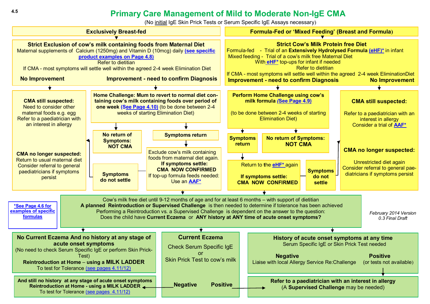#### **Primary Care Management of Mild to Moderate Non-IgE CMA**

(No initial IgE Skin Prick Tests or Serum Specific IgE Assays necessary)

<span id="page-9-0"></span>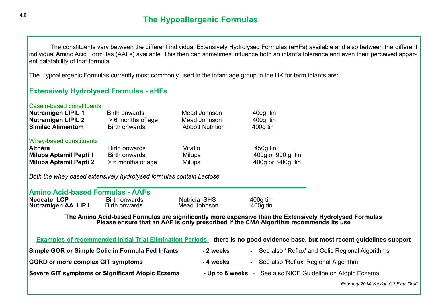<span id="page-10-0"></span>The constituents vary between the different individual Extensively Hydrolysed Formulas (eHFs) available and also between the different individual Amino Acid Formulas (AAFs) available. This then can sometimes influence both an infant's tolerance and even their perceived apparent palatability of that formula.

The Hypoallergenic Formulas currently most commonly used in the infant age group in the UK for term infants are:

#### **Extensively Hydrolysed Formulas - eHFs**

| Casein-based constituents<br>Nutramigen LIPIL 1<br><b>Nutramigen LIPIL 2</b><br><b>Similac Alimentum</b> | Birth onwards<br>> 6 months of age<br><b>Birth onwards</b>        | Mead Johnson<br>Mead Johnson<br><b>Abbott Nutrition</b> | $400g$ tin<br>400g tin<br>$400q$ tin                |
|----------------------------------------------------------------------------------------------------------|-------------------------------------------------------------------|---------------------------------------------------------|-----------------------------------------------------|
| <b>Whey-based constituents</b><br><b>Althéra</b><br>Milupa Aptamil Pepti 1<br>Milupa Aptamil Pepti 2     | <b>Birth onwards</b><br><b>Birth onwards</b><br>> 6 months of age | Vitaflo<br>Milupa<br>Milupa                             | $450q$ tin<br>400g or 900 g tin<br>400g or 900g tin |

*Both the whey based extensively hydrolysed formulas contain Lactose* 

|  | <b>Amino Acid-based Formulas - AAFs</b> |  |
|--|-----------------------------------------|--|
|  |                                         |  |

| <b>Neocate LCP</b>  | Birth onwards | Nutricia SHS | $400g$ tin |
|---------------------|---------------|--------------|------------|
| Nutramigen AA LIPIL | Birth onwards | Mead Johnson | $400q$ tin |

**The Amino Acid-based Formulas are significantly more expensive than the Extensively Hydrolysed Formulas Please ensure that an AAF is only prescribed if the CMA Algorithm recommends its use**

**Examples of recommended Initial Trial Elimination Periods – there is no good evidence base, but most recent guidelines support**

| Simple GOR or Simple Colic in Formula Fed Infants | - 2 weeks       | - See also ' Reflux' and Colic Regional Algorithms |
|---------------------------------------------------|-----------------|----------------------------------------------------|
| <b>GORD or more complex GIT symptoms</b>          | - 4 weeks       | - See also 'Reflux' Regional Algorithm             |
| Severe GIT symptoms or Significant Atopic Eczema  | - Up to 6 weeks | - See also NICE Guideline on Atopic Eczema         |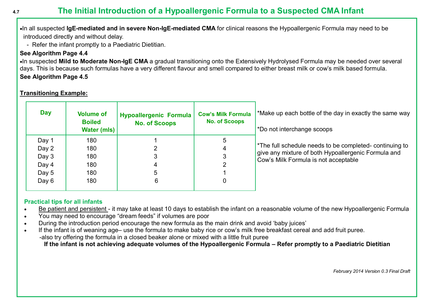#### <span id="page-11-0"></span>**4.7 The Initial Introduction of a Hypoallergenic Formula to a Suspected CMA Infant**

In all suspected **IgE-mediated and in severe Non-IgE-mediated CMA** for clinical reasons the Hypoallergenic Formula may need to be introduced directly and without delay.

- Refer the infant promptly to a Paediatric Dietitian.

#### **See Algorithm Page 4.4**

In suspected **Mild to Moderate Non-IgE CMA** a gradual transitioning onto the Extensively Hydrolysed Formula may be needed over several days. This is because such formulas have a very different flavour and smell compared to either breast milk or cow's milk based formula. **See Algorithm Page 4.5**

| <b>Day</b> | <b>Volume of</b><br><b>Boiled</b><br><b>Water (mls)</b> | <b>Hypoallergenic Formula</b><br><b>No. of Scoops</b> | <b>Cow's Milk Formula</b><br><b>No. of Scoops</b> | *Make up each bottle of the day in exactly the same way<br>*Do not interchange scoops                                                                  |
|------------|---------------------------------------------------------|-------------------------------------------------------|---------------------------------------------------|--------------------------------------------------------------------------------------------------------------------------------------------------------|
| Day 1      | 180                                                     |                                                       | 5                                                 |                                                                                                                                                        |
| Day 2      | 180                                                     |                                                       |                                                   | *The full schedule needs to be completed- continuing to<br>give any mixture of both Hypoallergenic Formula and<br>Cow's Milk Formula is not acceptable |
| Day 3      | 180                                                     |                                                       |                                                   |                                                                                                                                                        |
| Day 4      | 180                                                     |                                                       |                                                   |                                                                                                                                                        |
| Day 5      | 180                                                     | ა                                                     |                                                   |                                                                                                                                                        |
| Day $6$    | 180                                                     | 6                                                     |                                                   |                                                                                                                                                        |
|            |                                                         |                                                       |                                                   |                                                                                                                                                        |

#### **Transitioning Example:**

#### **Practical tips for all infants**

- Be patient and persistent it may take at least 10 days to establish the infant on a reasonable volume of the new Hypoallergenic Formula
- You may need to encourage "dream feeds" if volumes are poor
- During the introduction period encourage the new formula as the main drink and avoid 'baby juices'
- If the infant is of weaning age– use the formula to make baby rice or cow's milk free breakfast cereal and add fruit puree. -also try offering the formula in a closed beaker alone or mixed with a little fruit puree **If the infant is not achieving adequate volumes of the Hypoallergenic Formula – Refer promptly to a Paediatric Dietitian**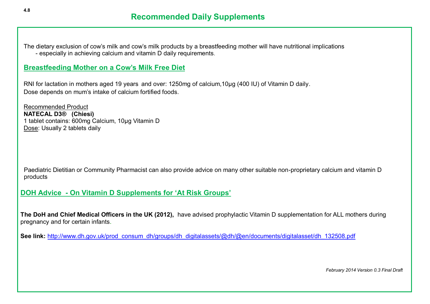<span id="page-12-0"></span>The dietary exclusion of cow's milk and cow's milk products by a breastfeeding mother will have nutritional implications - especially in achieving calcium and vitamin D daily requirements.

#### **Breastfeeding Mother on a Cow's Milk Free Diet**

RNI for lactation in mothers aged 19 years and over: 1250mg of calcium,10µg (400 IU) of Vitamin D daily. Dose depends on mum's intake of calcium fortified foods.

Recommended Product **NATECAL D3® (Chiesi)** 1 tablet contains: 600mg Calcium, 10µg Vitamin D Dose: Usually 2 tablets daily

 Paediatric Dietitian or Community Pharmacist can also provide advice on many other suitable non-proprietary calcium and vitamin D products

#### **DOH Advice - On Vitamin D Supplements for 'At Risk Groups'**

**The DoH and Chief Medical Officers in the UK (2012),** have advised prophylactic Vitamin D supplementation for ALL mothers during pregnancy and for certain infants.

See link: [http://www.dh.gov.uk/prod\\_consum\\_dh/groups/dh\\_digitalassets/@dh/@en/documents/digitalasset/dh\\_132508.pdf](http://www.dh.gov.uk/prod_consum_dh/groups/dh_digitalassets/@dh/@en/documents/digitalasset/dh_132508.pdf)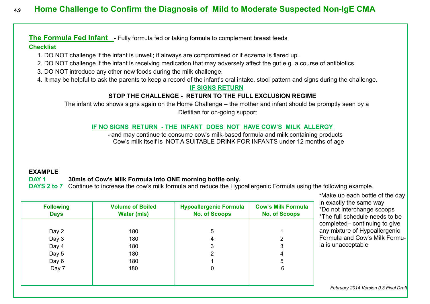#### <span id="page-13-0"></span>**4.9 Home Challenge to Confirm the Diagnosis of Mild to Moderate Suspected Non-IgE CMA**

**The Formula Fed Infant -** Fully formula fed or taking formula to complement breast feeds

#### **Checklist**

- 1. DO NOT challenge if the infant is unwell; if airways are compromised or if eczema is flared up.
- 2. DO NOT challenge if the infant is receiving medication that may adversely affect the gut e.g. a course of antibiotics.
- 3. DO NOT introduce any other new foods during the milk challenge.
- 4. It may be helpful to ask the parents to keep a record of the infant's oral intake, stool pattern and signs during the challenge.

#### **IF SIGNS RETURN**

#### **STOP THE CHALLENGE - RETURN TO THE FULL EXCLUSION REGIME**

The infant who shows signs again on the Home Challenge – the mother and infant should be promptly seen by a Dietitian for on-going support

#### **IF NO SIGNS RETURN - THE INFANT DOES NOT HAVE COW'S MILK ALLERGY**

 **-** and may continue to consume cow's milk-based formula and milk containing products Cow's milk itself is NOT A SUITABLE DRINK FOR INFANTS under 12 months of age

#### **EXAMPLE**

#### **DAY 1 30mls of Cow's Milk Formula into ONE morning bottle only.**

**DAYS 2 to 7** Continue to increase the cow's milk formula and reduce the Hypoallergenic Formula using the following example.

| <b>Following</b><br><b>Days</b> | <b>Volume of Boiled</b><br><b>Water (mls)</b> | <b>Hypoallergenic Formula</b><br><b>No. of Scoops</b> | <b>Cow's Milk Formula</b><br><b>No. of Scoops</b> |
|---------------------------------|-----------------------------------------------|-------------------------------------------------------|---------------------------------------------------|
|                                 |                                               |                                                       |                                                   |
| Day 2                           | 180                                           | 5                                                     |                                                   |
| Day 3                           | 180                                           |                                                       | າ                                                 |
| Day 4                           | 180                                           | 3                                                     | 3                                                 |
| Day 5                           | 180                                           | າ                                                     | 4                                                 |
| Day 6                           | 180                                           |                                                       | 5                                                 |
| Day 7                           | 180                                           | 0                                                     | 6                                                 |
|                                 |                                               |                                                       |                                                   |
|                                 |                                               |                                                       |                                                   |

\*Make up each bottle of the day in exactly the same way \*Do not interchange scoops \*The full schedule needs to be completed– continuing to give any mixture of Hypoallergenic Formula and Cow's Milk Formula is unacceptable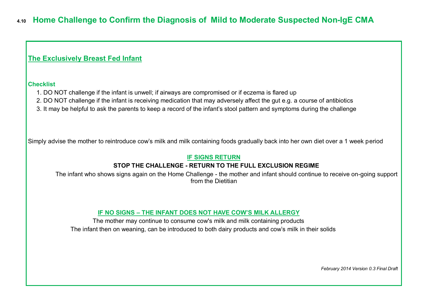#### <span id="page-14-0"></span>**The Exclusively Breast Fed Infant**

#### **Checklist**

- 1. DO NOT challenge if the infant is unwell; if airways are compromised or if eczema is flared up
- 2. DO NOT challenge if the infant is receiving medication that may adversely affect the gut e.g. a course of antibiotics
- 3. It may be helpful to ask the parents to keep a record of the infant's stool pattern and symptoms during the challenge

Simply advise the mother to reintroduce cow's milk and milk containing foods gradually back into her own diet over a 1 week period

#### **IF SIGNS RETURN**

#### **STOP THE CHALLENGE - RETURN TO THE FULL EXCLUSION REGIME**

 The infant who shows signs again on the Home Challenge - the mother and infant should continue to receive on-going support from the Dietitian

#### **IF NO SIGNS – THE INFANT DOES NOT HAVE COW'S MILK ALLERGY**

The mother may continue to consume cow's milk and milk containing products The infant then on weaning, can be introduced to both dairy products and cow's milk in their solids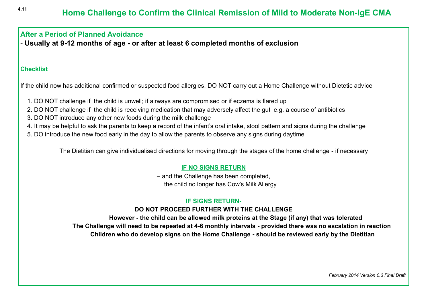#### <span id="page-15-0"></span>**After a Period of Planned Avoidance**

- **Usually at 9-12 months of age - or after at least 6 completed months of exclusion**

#### **Checklist**

If the child now has additional confirmed or suspected food allergies. DO NOT carry out a Home Challenge without Dietetic advice

- 1. DO NOT challenge if the child is unwell; if airways are compromised or if eczema is flared up
- 2. DO NOT challenge if the child is receiving medication that may adversely affect the gut e.g. a course of antibiotics
- 3. DO NOT introduce any other new foods during the milk challenge
- 4. It may be helpful to ask the parents to keep a record of the infant's oral intake, stool pattern and signs during the challenge
- 5. DO introduce the new food early in the day to allow the parents to observe any signs during daytime

The Dietitian can give individualised directions for moving through the stages of the home challenge - if necessary

#### **IF NO SIGNS RETURN**

– and the Challenge has been completed, the child no longer has Cow's Milk Allergy

#### **IF SIGNS RETURN-**

#### **DO NOT PROCEED FURTHER WITH THE CHALLENGE**

 **However - the child can be allowed milk proteins at the Stage (if any) that was tolerated The Challenge will need to be repeated at 4-6 monthly intervals - provided there was no escalation in reaction Children who do develop signs on the Home Challenge - should be reviewed early by the Dietitian**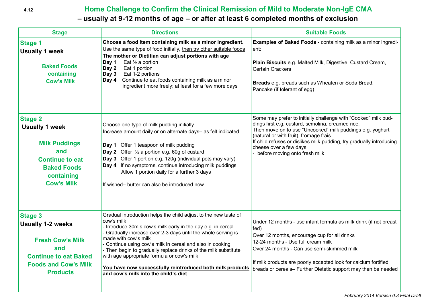#### <span id="page-16-0"></span> **4.12 Home Challenge to Confirm the Clinical Remission of Mild to Moderate Non-IgE CMA**

#### **– usually at 9-12 months of age – or after at least 6 completed months of exclusion**

| <b>Stage</b>                                                                                                                                                   | <b>Directions</b>                                                                                                                                                                                                                                                                                                                                                                                                                                                                                                         | <b>Suitable Foods</b>                                                                                                                                                                                                                                                                                                                                           |
|----------------------------------------------------------------------------------------------------------------------------------------------------------------|---------------------------------------------------------------------------------------------------------------------------------------------------------------------------------------------------------------------------------------------------------------------------------------------------------------------------------------------------------------------------------------------------------------------------------------------------------------------------------------------------------------------------|-----------------------------------------------------------------------------------------------------------------------------------------------------------------------------------------------------------------------------------------------------------------------------------------------------------------------------------------------------------------|
| <b>Stage 1</b><br><b>Usually 1 week</b><br><b>Baked Foods</b><br>containing<br><b>Cow's Milk</b>                                                               | Choose a food item containing milk as a minor ingredient.<br>Use the same type of food initially, then try other suitable foods<br>The mother or Dietitian can adjust portions with age<br>Day 1<br>Eat $\frac{1}{2}$ a portion<br>Eat 1 portion<br>Day 2<br>Eat 1-2 portions<br>Day 3<br>Continue to eat foods containing milk as a minor<br>Day 4<br>ingredient more freely; at least for a few more days                                                                                                               | Examples of Baked Foods - containing milk as a minor ingredi-<br>ent:<br>Plain Biscuits e.g. Malted Milk, Digestive, Custard Cream,<br><b>Certain Crackers</b><br>Breads e.g. breads such as Wheaten or Soda Bread,<br>Pancake (if tolerant of egg)                                                                                                             |
| <b>Stage 2</b><br><b>Usually 1 week</b><br><b>Milk Puddings</b><br>and<br><b>Continue to eat</b><br><b>Baked Foods</b><br>containing<br><b>Cow's Milk</b>      | Choose one type of milk pudding initially.<br>Increase amount daily or on alternate days- as felt indicated<br>Day 1 Offer 1 teaspoon of milk pudding<br><b>Day 2</b> Offer $\frac{1}{2}$ a portion e.g. 60g of custard<br>Day 3 Offer 1 portion e.g. 120g (individual pots may vary)<br>Day 4 If no symptoms, continue introducing milk puddings<br>Allow 1 portion daily for a further 3 days<br>If wished- butter can also be introduced now                                                                           | Some may prefer to initially challenge with "Cooked" milk pud-<br>dings first e.g. custard, semolina, creamed rice.<br>Then move on to use "Uncooked" milk puddings e.g. yoghurt<br>(natural or with fruit), fromage frais<br>If child refuses or dislikes milk pudding, try gradually introducing<br>cheese over a few days<br>- before moving onto fresh milk |
| <b>Stage 3</b><br><b>Usually 1-2 weeks</b><br><b>Fresh Cow's Milk</b><br>and<br><b>Continue to eat Baked</b><br><b>Foods and Cow's Milk</b><br><b>Products</b> | Gradual introduction helps the child adjust to the new taste of<br>cow's milk<br>- Introduce 30mls cow's milk early in the day e.g. in cereal<br>- Gradually increase over 2-3 days until the whole serving is<br>made with cow's milk<br>- Continue using cow's milk in cereal and also in cooking<br>- Then begin to gradually replace drinks of the milk substitute<br>with age appropriate formula or cow's milk<br>You have now successfully reintroduced both milk products<br>and cow's milk into the child's diet | Under 12 months - use infant formula as milk drink (if not breast<br>fed)<br>Over 12 months, encourage cup for all drinks<br>12-24 months - Use full cream milk<br>Over 24 months - Can use semi-skimmed milk<br>If milk products are poorly accepted look for calcium fortified<br>breads or cereals- Further Dietetic support may then be needed              |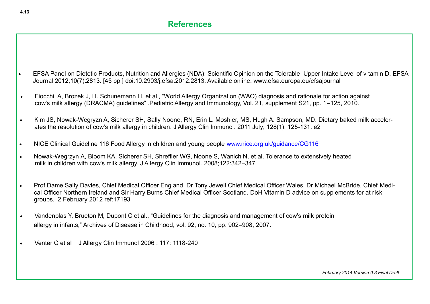- <span id="page-17-0"></span> EFSA Panel on Dietetic Products, Nutrition and Allergies (NDA); Scientific Opinion on the Tolerable Upper Intake Level of vitamin D. EFSA Journal 2012;10(7):2813. [45 pp.] doi:10.2903/j.efsa.2012.2813. Available online: www.efsa.europa.eu/efsajournal
- Fiocchi A, Brozek J, H. Schunemann H, et al., "World Allergy Organization (WAO) diagnosis and rationale for action against cow's milk allergy (DRACMA) guidelines" .Pediatric Allergy and Immunology, Vol. 21, supplement S21, pp. 1–125, 2010.
- Kim JS, Nowak-Wegryzn A, Sicherer SH, Sally Noone, RN, Erin L. Moshier, MS, Hugh A. Sampson, MD*.* Dietary baked milk accelerates the resolution of cow's milk allergy in children. J Allergy Clin Immunol. 2011 July; 128(1): 125-131. e2
- NICE Clinical Guideline 116 Food Allergy in children and young people [www.nice.org.uk/guidance/CG116](http://www.nice.org.uk/guidance/CG116)
- Nowak-Wegrzyn A, Bloom KA, Sicherer SH, Shreffler WG, Noone S, Wanich N, et al. Tolerance to extensively heated milk in children with cow's milk allergy. J Allergy Clin Immunol. 2008;122:342–347
- Prof Dame Sally Davies, Chief Medical Officer England, Dr Tony Jewell Chief Medical Officer Wales, Dr Michael McBride, Chief Medical Officer Northern Ireland and Sir Harry Burns Chief Medical Officer Scotland. DoH Vitamin D advice on supplements for at risk groups. 2 February 2012 ref:17193
- Vandenplas Y, Brueton M, Dupont C et al., "Guidelines for the diagnosis and management of cow's milk protein allergy in infants," Archives of Disease in Childhood, vol. 92, no. 10, pp. 902–908, 2007.
- Venter C et al J Allergy Clin Immunol 2006 : 117: 1118-240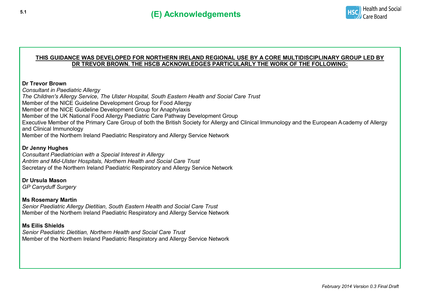

#### **THIS GUIDANCE WAS DEVELOPED FOR NORTHERN IRELAND REGIONAL USE BY A CORE MULTIDISCIPLINARY GROUP LED BY DR TREVOR BROWN. THE HSCB ACKNOWLEDGES PARTICULARLY THE WORK OF THE FOLLOWING:**

#### **Dr Trevor Brown**

*Consultant in Paediatric Allergy The Children's Allergy Service, The Ulster Hospital, South Eastern Health and Social Care Trust* Member of the NICE Guideline Development Group for Food Allergy Member of the NICE Guideline Development Group for Anaphylaxis Member of the UK National Food Allergy Paediatric Care Pathway Development Group Executive Member of the Primary Care Group of both the British Society for Allergy and Clinical Immunology and the European Academy of Allergy and Clinical Immunology Member of the Northern Ireland Paediatric Respiratory and Allergy Service Network

#### **Dr Jenny Hughes**

*Consultant Paediatrician with a Special Interest in Allergy Antrim and Mid-Ulster Hospitals, Northern Health and Social Care Trust* Secretary of the Northern Ireland Paediatric Respiratory and Allergy Service Network

#### **Dr Ursula Mason**

*GP Carryduff Surgery*

#### **Ms Rosemary Martin**

*Senior Paediatric Allergy Dietitian, South Eastern Health and Social Care Trust* Member of the Northern Ireland Paediatric Respiratory and Allergy Service Network

#### **Ms Eilis Shields**

*Senior Paediatric Dietitian, Northern Health and Social Care Trust* Member of the Northern Ireland Paediatric Respiratory and Allergy Service Network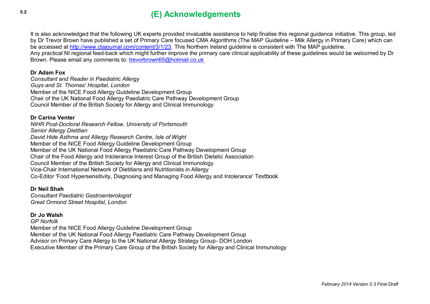#### **5.2 (E) Acknowledgements**

It is also acknowledged that the following UK experts provided invaluable assistance to help finalise this regional guidance initiative. This group, led by Dr Trevor Brown have published a set of Primary Care focused CMA Algorithms (The MAP Guideline – Milk Allergy in Primary Care) which can be accessed at [http://www.ctajournal.com/content/3/1/23.](http://www.ctajournal.com/content/3/1/23) This Northern Ireland guideline is consistent with The MAP guideline. Any practical NI regional feed-back which might further improve the primary care clinical applicability of these guidelines would be welcomed by Dr Brown. Please email any comments to: [trevorbrown65@hotmail.co.uk](mailto:trevorbrown65@hotmail.co.uk)

#### **Dr Adam Fox**

*Consultant and Reader in Paediatric Allergy Guys and St. Thomas' Hospital, London* Member of the NICE Food Allergy Guideline Development Group Chair of the UK National Food Allergy Paediatric Care Pathway Development Group Council Member of the British Society for Allergy and Clinical Immunology

#### **Dr Carina Venter**

*NIHR Post-Doctoral Research Fellow, University of Portsmouth Senior Allergy Dietitian David Hide Asthma and Allergy Research Centre, Isle of Wight* Member of the NICE Food Allergy Guideline Development Group Member of the UK National Food Allergy Paediatric Care Pathway Development Group Chair of the Food Allergy and Intolerance Interest Group of the British Dietetic Association Council Member of the British Society for Allergy and Clinical Immunology Vice-Chair International Network of Dietitians and Nutritionists in Allergy Co-Editor 'Food Hypersensitivity, Diagnosing and Managing Food Allergy and Intolerance' Textbook

**Dr Neil Shah** *Consultant Paediatric Gastroenterologist Great Ormond Street Hospital, London*

#### **Dr Jo Walsh**

*GP Norfolk* Member of the NICE Food Allergy Guideline Development Group Member of the UK National Food Allergy Paediatric Care Pathway Development Group Advisor on Primary Care Allergy to the UK National Allergy Strategy Group- DOH London Executive Member of the Primary Care Group of the British Society for Allergy and Clinical Immunology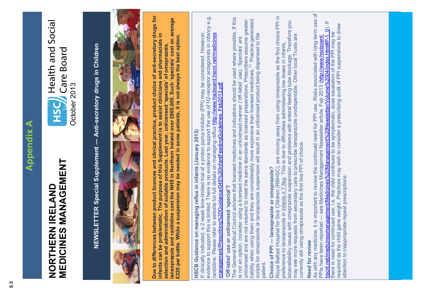## **Appendix A Appendix A**

## **MEDICINES MANAGEMENT** MEDICINES MANAGEMENT **NORTHERN IRELAND**  NORTHERN IRELAND

<span id="page-20-0"></span>

# NEWSLETTER Special Supplement - Anti-secretory drugs in Children **NEWSLETTER Special Supplement — Anti-secretory drugs in Children**



Due to differences between product licences and clinical practice, product choice of anti-secretory drugs for **Due to differences between product licences and clinical practice, product choice of anti-secretory drugs for lansoprazole and ranitidine cost the NHS in Northern Ireland over £800,000. Such 'specials' cost on average**  lansoprazole and ranitidine cost the NHS in Northern Ireland over £800,000. Such 'specials' cost on average **infants can be problematic. The purpose of this Supplement is to assist clinicians and pharmacists in**  infants can be problematic. The purpose of this Supplement is to assist clinicians and pharmacists in<br>selection and administration of suitable products. Last year, unlicensed 'specials' of omeprazole, **£220 per bottle. While a suspension may be needed in some patients, it is not always the best option.**  £220 per bottle. While a suspension may be needed in some patients, it is not always the best option. **selection and administration of suitable products. Last year, unlicensed 'specials' of omeprazole,** 

HSCB Guidance on managing reflux in infants (January 2013) **HSCB Guidance on managing reflux in infants (January 2013)**

evidence to support this is limited. There is no evidence to support the use of H2-receptor antagonists in infancy e.g. evidence to support this is limited. There is no evidence to support the use of H2-receptor antagonists in infancy e.g.<br>ranitidine. Please refer to website for full details on managing reflux http://www.hscboard.hscni.net/ If clinically indicated, a 2 week time-limited trial of a proton pump inhibitor (PPI) may be considered. However, If clinically indicated, a 2 week time-limited trial of a proton pump inhibitor (PPI) may be considered. However, ranitidine. Please refer to website for full details on managing reflux http://www.hscboard.hscni.net/medicines management/Prescribing%20Guidance/045%20InfantFeedingGuidelines\_Feb2013.pdf. management/Prescribing%20Guidance/045%20InfantFeedingGuidelines Feb2013.pdf

## 'Off-label' use or unlicensed 'special'? **'Off-label' use or unlicensed 'special'?**

The General Medical Council advises that licensed medicines and indications should be used where possible. If this The General Medical Council advises that licensed medicines and indications should be used where possible. If this liability when using them and they are considerably more expensive than licensed medicines.<sup>12</sup> Practice-generated unlicensed and are not required to meet the same standards as licensed preparations. Prescribers assume greater <sup>12</sup> Practice-generated unlicensed and are not required to meet the same standards as licensed preparations. Prescribers assume greater scripts for omeprazole or lansoprazole suspension will result in an unlicensed product being dispensed to the scripts for omeprazole or lansoprazole suspension will result in an unlicensed product being dispensed to the is not an option, consider using a licensed medicine in an unlicensed manner ('off-label' use). 'Specials' are is not an option, consider using a licensed medicine in an unlicensed manner ('off-label' use). 'Specials' are liability when using them and they are considerably more expensive than licensed medicines. patient.

## Choice of PPI - lansoprazole or omeprazole? **Choice of PPI — lansoprazole or omeprazole?**

oncous on the minimal production (RBHSC), are moving away from using omeprazole as the first choice PPI in Royal Belfast Hospital for Sick Children (RBHSC), are moving away from using omeprazole as the first choice PPI in Royal Belfast Hospital for Sick Children (RBHSC), are moving away from using omeprazole as the first choice PPI in bioavailability issues with omeprazole suspension and problems with enteral feeding tube blockage. Therefore you may see more requests from secondary care to prescribe lansoprazole orodispersible. Other local Trusts are preference to lansoprazole in infants ≥ 7.5kg. This is due to difficulties administering low doses in infants, currently still using omeprazole as the first line PPI of choice.

**Need for review**<br>As with any medicine, it is important to review the continued need for PPI use. Risks associated with long-term use of As with any medicine, it is important to review the continued need for PPI use. Risks associated with long-term use of PPIs have been reported — see Medicines Management Newsletter article, Feb 2013 (http://www.hscboard.<br>hscni.net/medicinesmanagement/Medicines%20Management%20Newsletter/Volume%2004/index.html#P-1\_0). If<br>there is need for co hscni.net/medicinesmanagement/Medicines%20Management%20Newsletter/Volume%2004/index.html#P-1\_0). If required as the child gains weight. Practices may wish to consider a prescribing audit of PPI suspensions to draw required as the child gains weight. Practices may wish to consider a prescribing audit of PPI suspensions to draw there is need for continued use, i.e. the child continues to be symptomatic, dose escalation of the PPI may be PPIs have been reported — see Medicines Management Newsletter article, Feb 2013 (http://www.hscboard. attention to inappropriate repeat prescriptions. attention to inappropriate repeat prescriptions.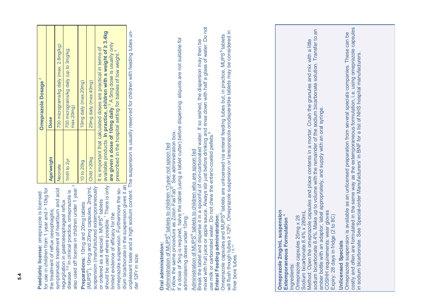| Paediatric license: omeprazole is licensed | for use in children from 1 year and $>$ 10kg for | symptomatic treatment of heartburn and acid | also used off license in children under 1 year. <sup>3</sup> |
|--------------------------------------------|--------------------------------------------------|---------------------------------------------|--------------------------------------------------------------|
|                                            | the treatment of reflux oesophagitis,            | regurgitation in gastroesophageal reflux    | disease. <sup>5,6</sup> In clinical practice, omeprazole is  |

or ordered as a special). MUPS<sup>®</sup> tablets<br>should be used where possible.<sup>1</sup> There is only should be used where possible.<sup>1</sup> There is only suspension (manufactured extemporaneously Preparations: 10mg and 20mg tablets<br>(MUPS®), 10mg and 20mg capsules, 2mg/mL (MUPS®), 10mg and 20mg capsules, 2mg/mL suspension (manufactured extemporaneously omeprazole suspension. Furthermore the soomeprazole suspension. Furthermore the soor ordered as a special). MUPS<sup>®</sup> tablets **Preparations:** 10mg and 20mg tablets limited evidence of efficacy for the limited evidence of efficacy for the

700 micrograms/kg daily (max. 2.8mg/kg) Neonate 700 micrograms/kg daily (max. 2.8mg/kg) It is important that calculated doses are practical in terms of It is important that calculated doses are practical in terms of 1mth to 2yr 700 micrograms/kg daily (up to 3mg/kg; 700 micrograms/kg daily (up to 3mg/kg; **Omeprazole Dosage** 2 10mg daily (max.20mg) 20mg daily (max.40mg) **Omeprazole Dosage** 10 to 20kg 10mg daily (max.20mg) Child >20kg 20mg daily (max.40mg) max.20mg) Dose **Age/weight Dose** Age/weight Child >20kg 1mth to 2yr 10 to 20kg Neonate

available products. In practice, children with a weight of ≥ 3.4kg<br>are given a dose of 10mg daily.<sup>3</sup> A 5mg dose is usually only<br>prescribed in the hospital setting for babies of low weight.<sup>3</sup> available products. **In practice, children with a weight of ≥ 3.4kg are given a dose of 10mg daily**.3 A 5mg dose is usually only prescribed in the hospital setting for babies of low weight.<sup>3</sup> dium bicarbonate in the suspension gives it an

dium bicarbonate in the suspension gives it an **leave and a computer to the sentify reserved for children with feeding tubes un-**<br>unpleasant taste and a high sodium content. The suspension is usually reserved for children unpleasant taste and a high sodium content. The suspension is usually reserved for children with feeding tubes under 12Fr in size. der 12Fr in size.

### **Oral administration:**  Oral administration:

out and the control of MUPS® tablets to children <1year not spoon fed Administration of MUPS® tablets to children <1year not spoon fed

If a dose of 5mg is required, halve the tablet (using a tablet cutter) before dispersing: aliquots are not suitable for Follow the same procedure as zoton rias rapid. See administration box.<br>If a dose of 5mg is required, halve the tablet (using a tablet cutter) before dispersing: aliquots are not suitable for<br>administering doses under 10mg  $\frac{\text{N}}{\text{F}}$  ollow the same procedure as Zoton FasTab<sup>®</sup>. See administration box. Follow the same procedure as Zoton FasTab®. See administration box. administering doses under 10mg.<sup>1</sup> administering doses under 10mg.

## Administration of MUPS® tablets to children who are spoon fed Administration of MUPS® tablets to children who are spoon fed

water. Do not mixed with fruit juice or apple sauce. Always stir just before drinking and rinse down with half a glass of water. Do not Break the tablet and disperse it in a spoonful of non-carbonated water. If so wished, the dispersion may then be Break the tablet and disperse it in a spoonful of non-carbonated water. If so wished, the dispersion may then be<br>mixed with fruit juice or apple sauce. Always stir just before drinking and rinse down with half a glass of w incours in the carbonated water. Do not chew the enteric-coated pellets.<sup>8</sup><br>use milk or carbonated water. Do not chew the enteric-coated pellets.<sup>8</sup> use milk or carbonated water. Do not chew the enteric-coated pellets.<sup>6</sup>

## **Enteral Feeding administration:**

will flush though tubes ≥ 12Fr. Omeprazole suspension or lansoprazole orodispersible tablets may be considered in will flush though tubes ≥ 12Fr. Omeprazole suspension or lansoprazole orodispersible tablets may be considered in<br>finer bore tubes.<sup>1,8,11</sup> Omeprazole capsules and MUPS® tablets are unlicensed via enteral feeding tubes but, in practice, MUPS® tablets Enteral Feeding administration:<br>Omeprazole capsules and MUPS® tablets are unlicensed via enteral feeding tubes but, in practice, MUPS® tablets finer bore tubes.<sup>1,8,11</sup>

### **Omeprazole 2mg/mL suspension<br>Extemporaneous Formulation 4 Omeprazole 2mg/mL suspension Extemporaneous Formulation** 4

Ingredients: Ingredients:

Omeprazole capsules 20mg x 28 Omeprazole capsules 20mg x 28

Sodium bicarbonate 8.4% x 280mL Sodium bicarbonate 8.4% x 280mL

 $\overline{a}$ sodium bicarbonate 8.4%. Make up to volume with the remainder of the sodium bicarbonate solution. Transfer to an Method: Open the omeprazole capsules and place contents in a mortar. Crush the granules and mix with a little<br>sodium bicarbonate 8.4%. Make up to volume with the remainder of the sodium bicarbonate solution. Transfer to<br>am Method: Open the omeprazole capsules and place contents in a mortar. Crush the granules and mix with a little amber bottle with an adaptor, label appropriately, and supply with an oral syringe.

COSHH requirements: wear gloves<br>Expiry: 28 days in fridge (2 to 8C) COSHH requirements: wear gloves

Expiry: 28 days in fridge (2 to 8C)

### **Unlicensed Specials Unlicensed Specials**

costly and often are formulated in the same way as the extemporaneous formulation, i.e. using omeprazole capsules<br>in sodium bicarbonate. See 'Special-order Manufacturers' in BNF for a list of NHS hospital manufacturers. costly and often are formulated in the same way as the extemporaneous formulation, i.e. using omeprazole capsules Omeprazole suspension is available as an unlicensed preparation from several specials companies. These can be Omeprazole suspension is available as an unlicensed preparation from several specials companies. These can be in sodium bicarbonate. See 'Special-order Manufacturers' in BNF for a list of NHS hospital manufacturers.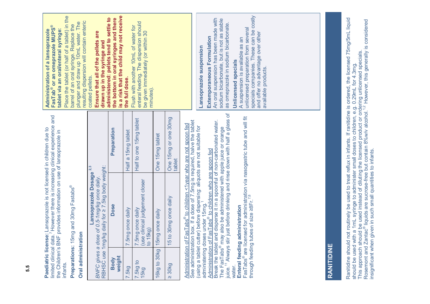| infants.                                                                | limited clinical data. <sup>7</sup> However there is increasing clinical experience and<br>Paediatric license: Lansoprazole is not licensed in children due to<br>the Children's BNF provides information on use of lansoprazole in                                                                                                                                                                                                                                                                                                                                                                                                                                                         |                                | Place the tablet (or half of a tablet) in the<br>FasTab <sup>®</sup> or an omeprazole MUPS®<br>tablet via an oral/enteral syringe:<br>Administration of a lansoprazole                                                                                                                                                                                                                            |
|-------------------------------------------------------------------------|---------------------------------------------------------------------------------------------------------------------------------------------------------------------------------------------------------------------------------------------------------------------------------------------------------------------------------------------------------------------------------------------------------------------------------------------------------------------------------------------------------------------------------------------------------------------------------------------------------------------------------------------------------------------------------------------|--------------------------------|---------------------------------------------------------------------------------------------------------------------------------------------------------------------------------------------------------------------------------------------------------------------------------------------------------------------------------------------------------------------------------------------------|
| Preparations: 1                                                         | 5mg and 30mg Fastabs®                                                                                                                                                                                                                                                                                                                                                                                                                                                                                                                                                                                                                                                                       |                                | barrel of an oral syringe. Replace the                                                                                                                                                                                                                                                                                                                                                            |
| Oral administration                                                     |                                                                                                                                                                                                                                                                                                                                                                                                                                                                                                                                                                                                                                                                                             |                                | resulting dispersion will contain enteric<br>plunger and draw up 10mL water. The                                                                                                                                                                                                                                                                                                                  |
| RBHSC use<br><b>BNFC</b> gives                                          | 1mg/kg daily for $\geq$ 7.5kg body weight:<br>Lansoprazole Dosage<br>a dose of 0.5-1mg/kg once daily.                                                                                                                                                                                                                                                                                                                                                                                                                                                                                                                                                                                       | 2,3                            | Ensure that all of the pellets are<br>drawn up in the syringe and<br>coated pellets.                                                                                                                                                                                                                                                                                                              |
| Body<br>weight                                                          | Dose                                                                                                                                                                                                                                                                                                                                                                                                                                                                                                                                                                                                                                                                                        | Preparation                    | is a risk that the child may not receive<br>administered: pellets tend to settle to<br>the bottom in oral syringes and there                                                                                                                                                                                                                                                                      |
| <b>.5kg</b>                                                             | 7.5mg once daily                                                                                                                                                                                                                                                                                                                                                                                                                                                                                                                                                                                                                                                                            | Half a 15mg tablet             | the full dose.                                                                                                                                                                                                                                                                                                                                                                                    |
| 7.5kg to<br>15kg                                                        | (use clinical judgement closer<br>7.5mg once daily<br>to 15kg)                                                                                                                                                                                                                                                                                                                                                                                                                                                                                                                                                                                                                              | Half to one 15mg tablet        | enteral feeding. The dispersion should<br>Flush with another 10mL of water for<br>be given immediately (or within 30<br>minutes).                                                                                                                                                                                                                                                                 |
| 16kg to 30kg                                                            | 15mg once daily                                                                                                                                                                                                                                                                                                                                                                                                                                                                                                                                                                                                                                                                             | One 15mg tablet                |                                                                                                                                                                                                                                                                                                                                                                                                   |
| 30kg<br>$\overline{\mathsf{M}}$                                         | 15 to 30mg once daily                                                                                                                                                                                                                                                                                                                                                                                                                                                                                                                                                                                                                                                                       | One 15mg or one 30mg<br>tablet |                                                                                                                                                                                                                                                                                                                                                                                                   |
| Enteral feeding<br><b>Break the tablet</b><br>through feeding<br>water. | The FasTabs® may also be administered with apple juice or orange<br>juice. <sup>11</sup> Always stir just before drinking and rinse down with half a glass of<br>FasTabs® are licensed for administration via nasogastric tube and will fit<br>See administration box. If a dose of 7.5mg is required, halve the tablet<br>and disperse it in a spoonful of non-carbonated water.<br>Administration of FasTabs® to children <1year who are not spoon fed<br>(using a tablet cutter) before dispersing: aliquots are not suitable for<br>Administration of FasTabs® to children who are spoon fed<br>tubes of size 28Fr. <sup>7,8</sup><br>administering doses under 15mg.<br>administration |                                | specials companies. These can be costly<br>An oral suspension has been made with<br>sodium bicarbonate, but is not as stable<br>as omeprazole in sodium bicarbonate.<br>unlicensed preparation from several<br>and offer no advantage over other<br>Extemporaneous Formulation<br>A suspension is available as an<br>Lansoprazole suspension<br><b>Unlicensed specials</b><br>available products. |
| RANITIDINE                                                              |                                                                                                                                                                                                                                                                                                                                                                                                                                                                                                                                                                                                                                                                                             |                                |                                                                                                                                                                                                                                                                                                                                                                                                   |
| Donitidina ahauld                                                       |                                                                                                                                                                                                                                                                                                                                                                                                                                                                                                                                                                                                                                                                                             |                                | アニュニークスロック そうはつ アクショクス こうしょう アクシステム しょうしょう アニューク きょうしょう こうしょう こうしょう スキーク こうしょう こうしょう こうしょう                                                                                                                                                                                                                                                                                                        |

## <u>|র</u>

Ranitidine should not routinely be used to treat reflux in infants. If ranitidine is ordered, the licensed 75mg/5mL liquid<br>should be used with a 1mL syringe to administer small doses to children, e.g. 0.29mL for 4.3mg.<br>Thi Ranitidine should not routinely be used to treat reflux in infants. If ranitidine is ordered, the licensed 75mg/5mL liquid Rosemont and Zantac® liquids are sucrose-free but contain 8%w/v alcohol.<sup>1,2</sup> However, this generally is considered This approach should be used instead of diluting the licensed product or ordering unlicensed specials. should be used with a 1mL syringe to administer small doses to children, e.g. 0.29mL for 4.3mg. insignificant when given in such small quantities to infants.